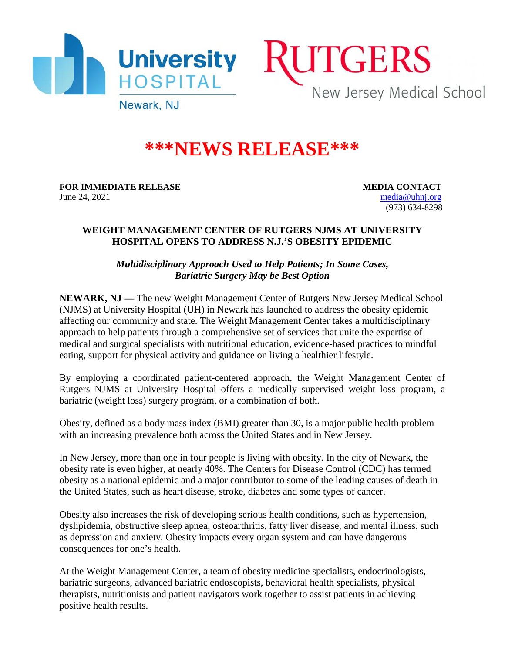



Newark, NJ

## **\*\*\*NEWS RELEASE\*\*\***

**FOR IMMEDIATE RELEASE MEDIA CONTACT** June 24, 2021 [media@uhnj.org](mailto:media@uhnj.org)

(973) 634-8298

## **WEIGHT MANAGEMENT CENTER OF RUTGERS NJMS AT UNIVERSITY HOSPITAL OPENS TO ADDRESS N.J.'S OBESITY EPIDEMIC**

*Multidisciplinary Approach Used to Help Patients; In Some Cases, Bariatric Surgery May be Best Option*

**NEWARK, NJ —** The new Weight Management Center of Rutgers New Jersey Medical School (NJMS) at University Hospital (UH) in Newark has launched to address the obesity epidemic affecting our community and state. The Weight Management Center takes a multidisciplinary approach to help patients through a comprehensive set of services that unite the expertise of medical and surgical specialists with nutritional education, evidence-based practices to mindful eating, support for physical activity and guidance on living a healthier lifestyle.

By employing a coordinated patient-centered approach, the Weight Management Center of Rutgers NJMS at University Hospital offers a medically supervised weight loss program, a bariatric (weight loss) surgery program, or a combination of both.

Obesity, defined as a body mass index (BMI) greater than 30, is a major public health problem with an increasing prevalence both across the United States and in New Jersey.

In New Jersey, more than one in four people is living with obesity. In the city of Newark, the obesity rate is even higher, at nearly 40%. The Centers for Disease Control (CDC) has termed obesity as a national epidemic and a major contributor to some of the leading causes of death in the United States, such as heart disease, stroke, diabetes and some types of cancer.

Obesity also increases the risk of developing serious health conditions, such as hypertension, dyslipidemia, obstructive sleep apnea, osteoarthritis, fatty liver disease, and mental illness, such as depression and anxiety. Obesity impacts every organ system and can have dangerous consequences for one's health.

At the Weight Management Center, a team of obesity medicine specialists, endocrinologists, bariatric surgeons, advanced bariatric endoscopists, behavioral health specialists, physical therapists, nutritionists and patient navigators work together to assist patients in achieving positive health results.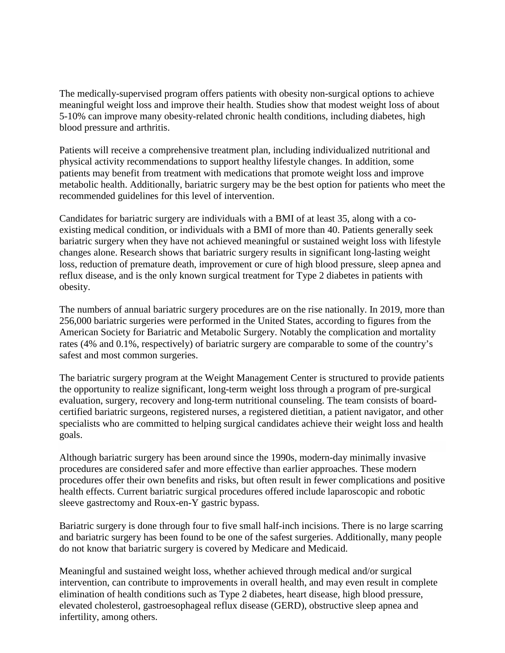The medically-supervised program offers patients with obesity non-surgical options to achieve meaningful weight loss and improve their health. Studies show that modest weight loss of about 5-10% can improve many obesity-related chronic health conditions, including diabetes, high blood pressure and arthritis.

Patients will receive a comprehensive treatment plan, including individualized nutritional and physical activity recommendations to support healthy lifestyle changes. In addition, some patients may benefit from treatment with medications that promote weight loss and improve metabolic health. Additionally, bariatric surgery may be the best option for patients who meet the recommended guidelines for this level of intervention.

Candidates for bariatric surgery are individuals with a BMI of at least 35, along with a coexisting medical condition, or individuals with a BMI of more than 40. Patients generally seek bariatric surgery when they have not achieved meaningful or sustained weight loss with lifestyle changes alone. Research shows that bariatric surgery results in significant long-lasting weight loss, reduction of premature death, improvement or cure of high blood pressure, sleep apnea and reflux disease, and is the only known surgical treatment for Type 2 diabetes in patients with obesity.

The numbers of annual bariatric surgery procedures are on the rise nationally. In 2019, more than 256,000 bariatric surgeries were performed in the United States, according to figures from the American Society for Bariatric and Metabolic Surgery. Notably the complication and mortality rates (4% and 0.1%, respectively) of bariatric surgery are comparable to some of the country's safest and most common surgeries.

The bariatric surgery program at the Weight Management Center is structured to provide patients the opportunity to realize significant, long-term weight loss through a program of pre-surgical evaluation, surgery, recovery and long-term nutritional counseling. The team consists of boardcertified bariatric surgeons, registered nurses, a registered dietitian, a patient navigator, and other specialists who are committed to helping surgical candidates achieve their weight loss and health goals.

Although bariatric surgery has been around since the 1990s, modern-day minimally invasive procedures are considered safer and more effective than earlier approaches. These modern procedures offer their own benefits and risks, but often result in fewer complications and positive health effects. Current bariatric surgical procedures offered include laparoscopic and robotic sleeve gastrectomy and Roux-en-Y gastric bypass.

Bariatric surgery is done through four to five small half-inch incisions. There is no large scarring and bariatric surgery has been found to be one of the safest surgeries. Additionally, many people do not know that bariatric surgery is covered by Medicare and Medicaid.

Meaningful and sustained weight loss, whether achieved through medical and/or surgical intervention, can contribute to improvements in overall health, and may even result in complete elimination of health conditions such as Type 2 diabetes, heart disease, high blood pressure, elevated cholesterol, gastroesophageal reflux disease (GERD), obstructive sleep apnea and infertility, among others.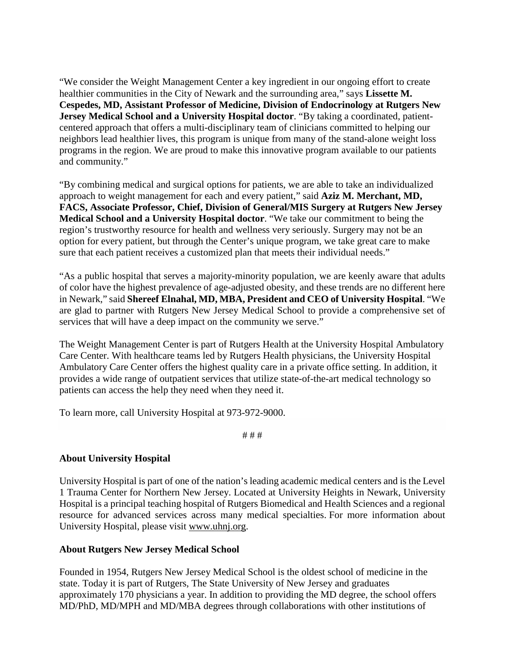"We consider the Weight Management Center a key ingredient in our ongoing effort to create healthier communities in the City of Newark and the surrounding area," says **Lissette M. Cespedes, MD, Assistant Professor of Medicine, Division of Endocrinology at Rutgers New Jersey Medical School and a University Hospital doctor**. "By taking a coordinated, patientcentered approach that offers a multi-disciplinary team of clinicians committed to helping our neighbors lead healthier lives, this program is unique from many of the stand-alone weight loss programs in the region. We are proud to make this innovative program available to our patients and community."

"By combining medical and surgical options for patients, we are able to take an individualized approach to weight management for each and every patient," said **Aziz M. Merchant, MD, FACS, Associate Professor, Chief, Division of General/MIS Surgery at Rutgers New Jersey Medical School and a University Hospital doctor**. "We take our commitment to being the region's trustworthy resource for health and wellness very seriously. Surgery may not be an option for every patient, but through the Center's unique program, we take great care to make sure that each patient receives a customized plan that meets their individual needs."

"As a public hospital that serves a majority-minority population, we are keenly aware that adults of color have the highest prevalence of age-adjusted obesity, and these trends are no different here in Newark," said **Shereef Elnahal, MD, MBA, President and CEO of University Hospital**. "We are glad to partner with Rutgers New Jersey Medical School to provide a comprehensive set of services that will have a deep impact on the community we serve."

The Weight Management Center is part of Rutgers Health at the University Hospital Ambulatory Care Center. With healthcare teams led by Rutgers Health physicians, the University Hospital Ambulatory Care Center offers the highest quality care in a private office setting. In addition, it provides a wide range of outpatient services that utilize state-of-the-art medical technology so patients can access the help they need when they need it.

To learn more, call University Hospital at 973-972-9000.

# # #

## **About University Hospital**

University Hospital is part of one of the nation's leading academic medical centers and is the Level 1 Trauma Center for Northern New Jersey. Located at University Heights in Newark, University Hospital is a principal teaching hospital of Rutgers Biomedical and Health Sciences and a regional resource for advanced services across many medical specialties. For more information about University Hospital, please visit [www.uhnj.org.](http://www.uhnj.org/)

## **About Rutgers New Jersey Medical School**

Founded in 1954, Rutgers New Jersey Medical School is the oldest school of medicine in the state. Today it is part of Rutgers, The State University of New Jersey and graduates approximately 170 physicians a year. In addition to providing the MD degree, the school offers MD/PhD, MD/MPH and MD/MBA degrees through collaborations with other institutions of